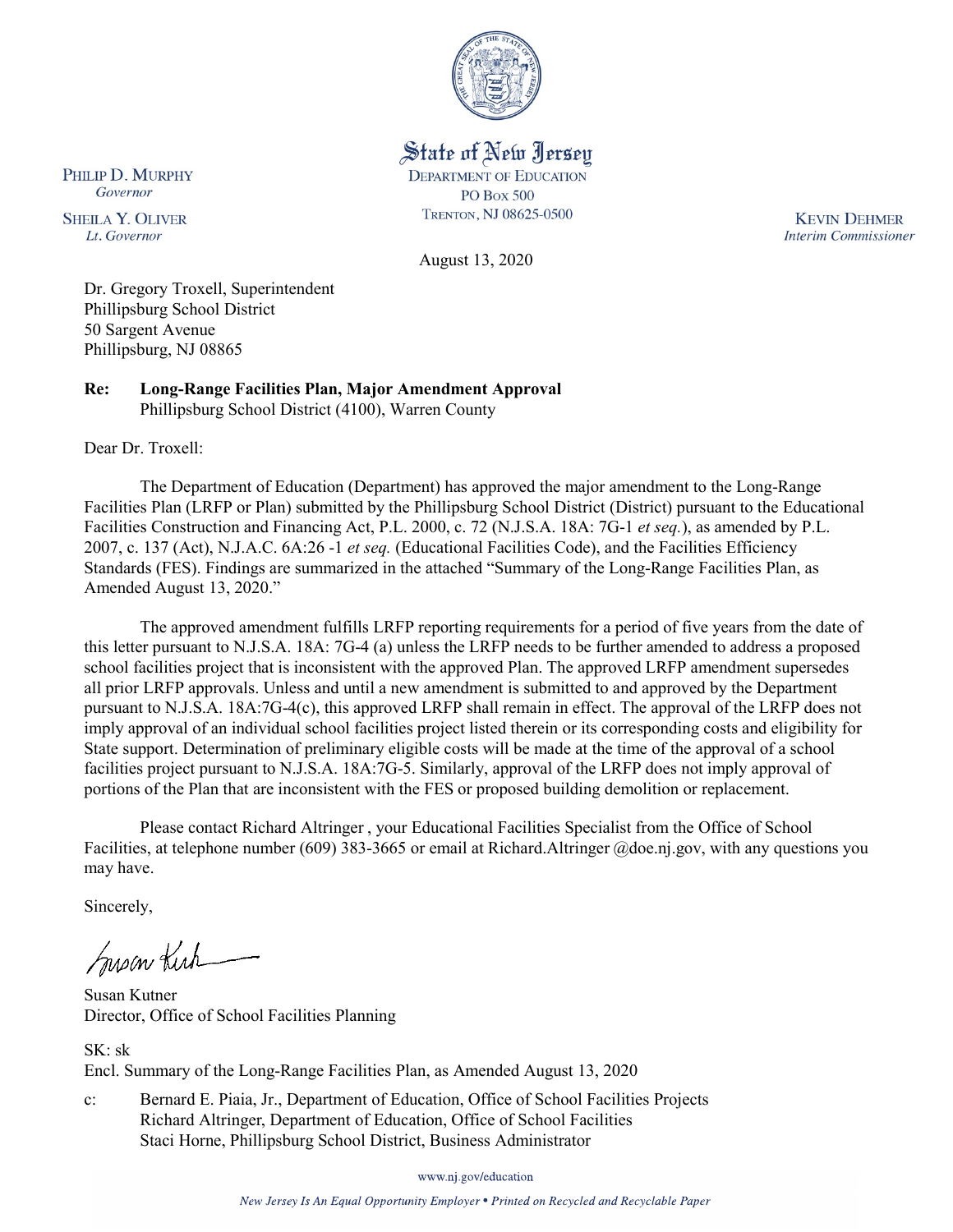

State of New Jersey

**DEPARTMENT OF EDUCATION PO Box 500** 

TRENTON, NJ 08625-0500

August 13, 2020

**KEVIN DEHMER Interim Commissioner** 

Dr. Gregory Troxell, Superintendent Phillipsburg School District 50 Sargent Avenue Phillipsburg, NJ 08865

**Re: Long-Range Facilities Plan, Major Amendment Approval**  Phillipsburg School District (4100), Warren County

Dear Dr. Troxell:

PHILIP D. MURPHY

Governor

**SHEILA Y. OLIVER** 

Lt. Governor

The Department of Education (Department) has approved the major amendment to the Long-Range Facilities Plan (LRFP or Plan) submitted by the Phillipsburg School District (District) pursuant to the Educational Facilities Construction and Financing Act, P.L. 2000, c. 72 (N.J.S.A. 18A: 7G-1 *et seq.*), as amended by P.L. 2007, c. 137 (Act), N.J.A.C. 6A:26 -1 *et seq.* (Educational Facilities Code), and the Facilities Efficiency Standards (FES). Findings are summarized in the attached "Summary of the Long-Range Facilities Plan, as Amended August 13, 2020."

The approved amendment fulfills LRFP reporting requirements for a period of five years from the date of this letter pursuant to N.J.S.A. 18A: 7G-4 (a) unless the LRFP needs to be further amended to address a proposed school facilities project that is inconsistent with the approved Plan. The approved LRFP amendment supersedes all prior LRFP approvals. Unless and until a new amendment is submitted to and approved by the Department pursuant to N.J.S.A. 18A:7G-4(c), this approved LRFP shall remain in effect. The approval of the LRFP does not imply approval of an individual school facilities project listed therein or its corresponding costs and eligibility for State support. Determination of preliminary eligible costs will be made at the time of the approval of a school facilities project pursuant to N.J.S.A. 18A:7G-5. Similarly, approval of the LRFP does not imply approval of portions of the Plan that are inconsistent with the FES or proposed building demolition or replacement.

Please contact Richard Altringer , your Educational Facilities Specialist from the Office of School Facilities, at telephone number (609) 383-3665 or email at Richard.Altringer @doe.nj.gov, with any questions you may have.

Sincerely,

Susan Kich

Susan Kutner Director, Office of School Facilities Planning

SK: sk Encl. Summary of the Long-Range Facilities Plan, as Amended August 13, 2020

c: Bernard E. Piaia, Jr., Department of Education, Office of School Facilities Projects Richard Altringer, Department of Education, Office of School Facilities Staci Horne, Phillipsburg School District, Business Administrator

www.nj.gov/education

New Jersey Is An Equal Opportunity Employer . Printed on Recycled and Recyclable Paper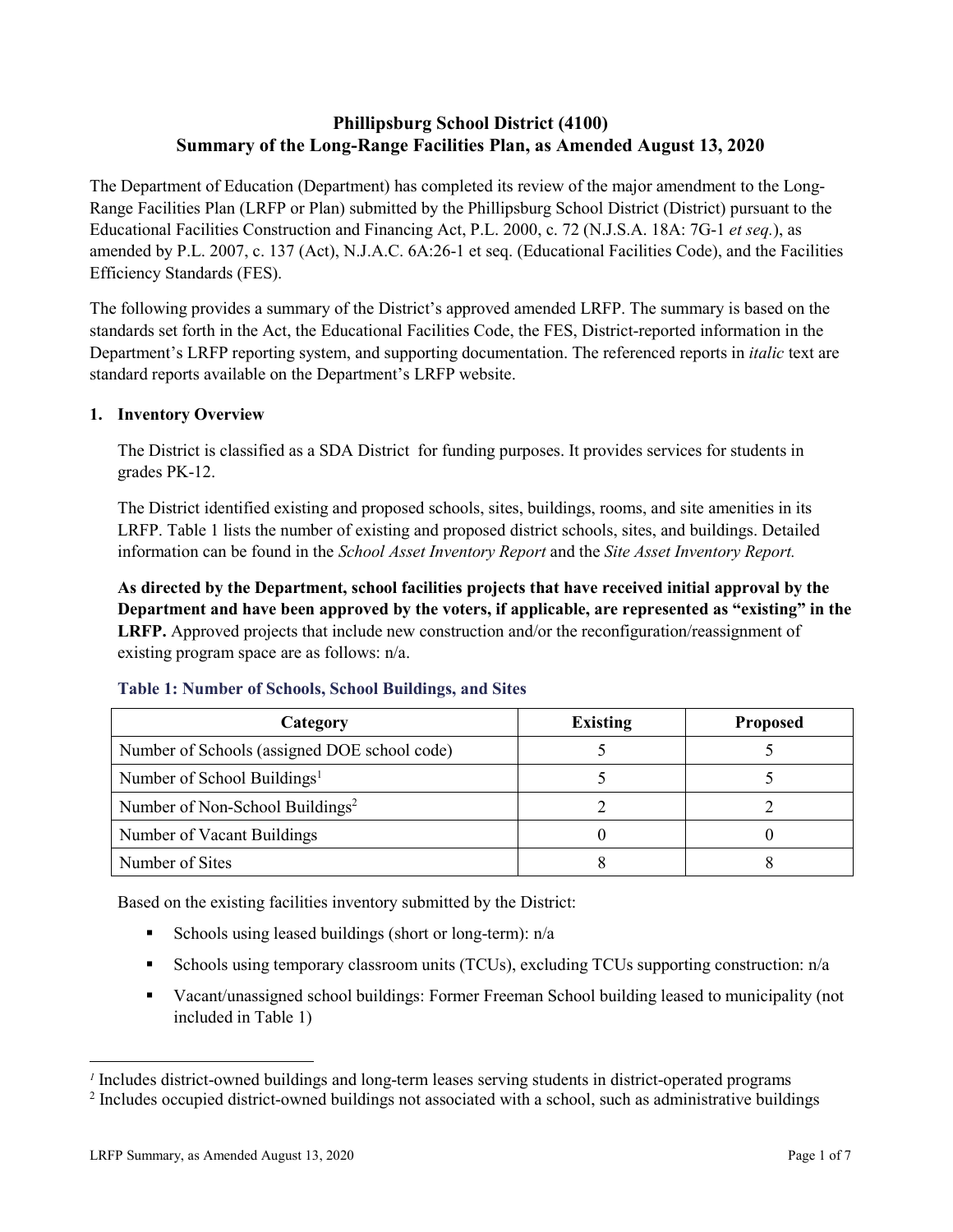# **Phillipsburg School District (4100) Summary of the Long-Range Facilities Plan, as Amended August 13, 2020**

The Department of Education (Department) has completed its review of the major amendment to the Long-Range Facilities Plan (LRFP or Plan) submitted by the Phillipsburg School District (District) pursuant to the Educational Facilities Construction and Financing Act, P.L. 2000, c. 72 (N.J.S.A. 18A: 7G-1 *et seq.*), as amended by P.L. 2007, c. 137 (Act), N.J.A.C. 6A:26-1 et seq. (Educational Facilities Code), and the Facilities Efficiency Standards (FES).

The following provides a summary of the District's approved amended LRFP. The summary is based on the standards set forth in the Act, the Educational Facilities Code, the FES, District-reported information in the Department's LRFP reporting system, and supporting documentation. The referenced reports in *italic* text are standard reports available on the Department's LRFP website.

## **1. Inventory Overview**

The District is classified as a SDA District for funding purposes. It provides services for students in grades PK-12.

The District identified existing and proposed schools, sites, buildings, rooms, and site amenities in its LRFP. Table 1 lists the number of existing and proposed district schools, sites, and buildings. Detailed information can be found in the *School Asset Inventory Report* and the *Site Asset Inventory Report.*

**As directed by the Department, school facilities projects that have received initial approval by the Department and have been approved by the voters, if applicable, are represented as "existing" in the LRFP.** Approved projects that include new construction and/or the reconfiguration/reassignment of existing program space are as follows: n/a.

| Category                                     | <b>Existing</b> | <b>Proposed</b> |
|----------------------------------------------|-----------------|-----------------|
| Number of Schools (assigned DOE school code) |                 |                 |
| Number of School Buildings <sup>1</sup>      |                 |                 |
| Number of Non-School Buildings <sup>2</sup>  |                 |                 |
| Number of Vacant Buildings                   |                 |                 |
| Number of Sites                              |                 |                 |

### **Table 1: Number of Schools, School Buildings, and Sites**

Based on the existing facilities inventory submitted by the District:

- Schools using leased buildings (short or long-term):  $n/a$
- Schools using temporary classroom units (TCUs), excluding TCUs supporting construction:  $n/a$
- Vacant/unassigned school buildings: Former Freeman School building leased to municipality (not included in Table 1)

 $\overline{a}$ 

*<sup>1</sup>* Includes district-owned buildings and long-term leases serving students in district-operated programs

<sup>&</sup>lt;sup>2</sup> Includes occupied district-owned buildings not associated with a school, such as administrative buildings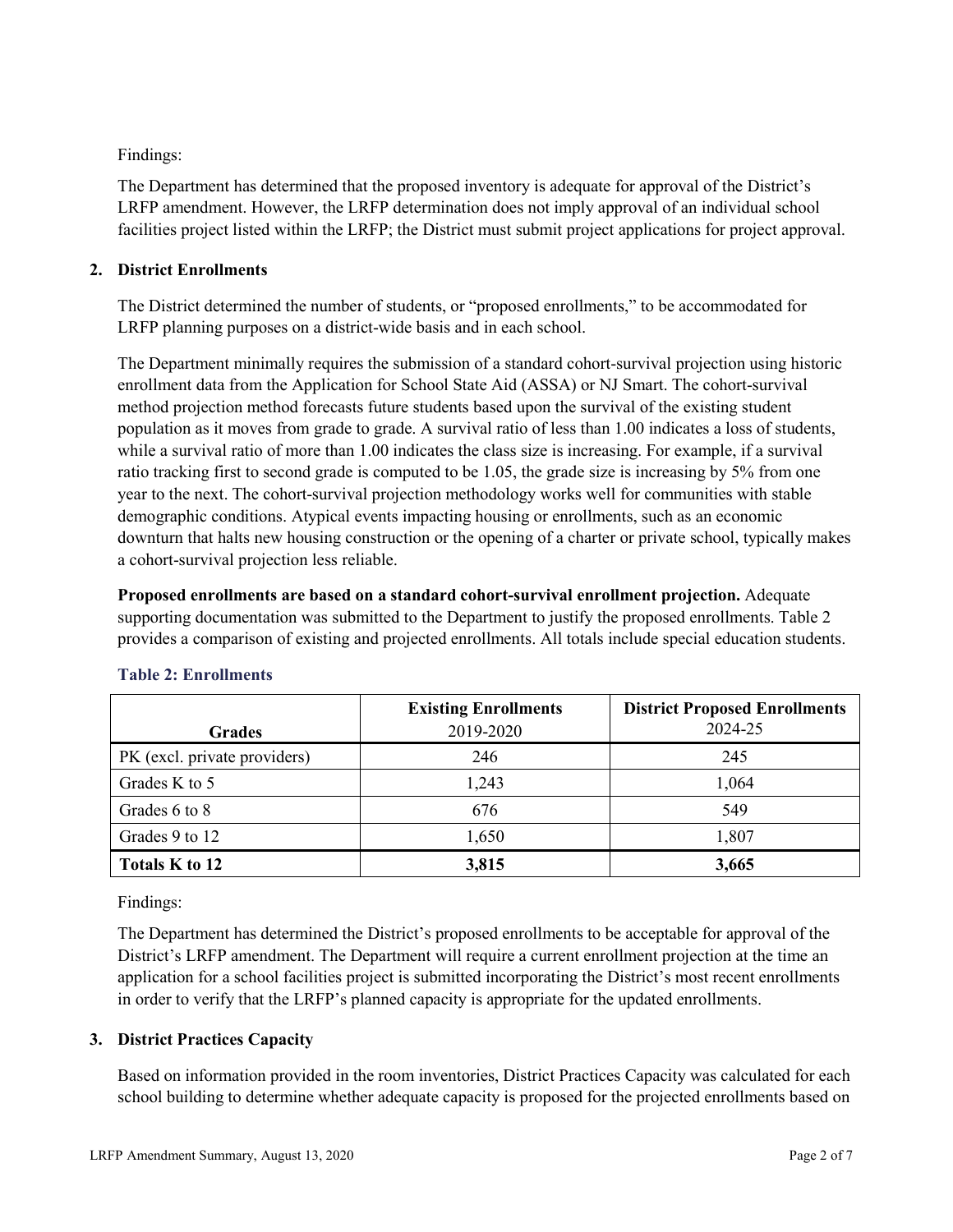Findings:

The Department has determined that the proposed inventory is adequate for approval of the District's LRFP amendment. However, the LRFP determination does not imply approval of an individual school facilities project listed within the LRFP; the District must submit project applications for project approval.

## **2. District Enrollments**

The District determined the number of students, or "proposed enrollments," to be accommodated for LRFP planning purposes on a district-wide basis and in each school.

The Department minimally requires the submission of a standard cohort-survival projection using historic enrollment data from the Application for School State Aid (ASSA) or NJ Smart. The cohort-survival method projection method forecasts future students based upon the survival of the existing student population as it moves from grade to grade. A survival ratio of less than 1.00 indicates a loss of students, while a survival ratio of more than 1.00 indicates the class size is increasing. For example, if a survival ratio tracking first to second grade is computed to be 1.05, the grade size is increasing by 5% from one year to the next. The cohort-survival projection methodology works well for communities with stable demographic conditions. Atypical events impacting housing or enrollments, such as an economic downturn that halts new housing construction or the opening of a charter or private school, typically makes a cohort-survival projection less reliable.

**Proposed enrollments are based on a standard cohort-survival enrollment projection.** Adequate supporting documentation was submitted to the Department to justify the proposed enrollments. Table 2 provides a comparison of existing and projected enrollments. All totals include special education students.

|                              | <b>Existing Enrollments</b> | <b>District Proposed Enrollments</b> |
|------------------------------|-----------------------------|--------------------------------------|
| <b>Grades</b>                | 2019-2020                   | 2024-25                              |
| PK (excl. private providers) | 246                         | 245                                  |
| Grades K to 5                | 1,243                       | 1,064                                |
| Grades 6 to 8                | 676                         | 549                                  |
| Grades 9 to 12               | 1,650                       | 1,807                                |
| Totals K to 12               | 3,815                       | 3,665                                |

### **Table 2: Enrollments**

Findings:

The Department has determined the District's proposed enrollments to be acceptable for approval of the District's LRFP amendment. The Department will require a current enrollment projection at the time an application for a school facilities project is submitted incorporating the District's most recent enrollments in order to verify that the LRFP's planned capacity is appropriate for the updated enrollments.

# **3. District Practices Capacity**

Based on information provided in the room inventories, District Practices Capacity was calculated for each school building to determine whether adequate capacity is proposed for the projected enrollments based on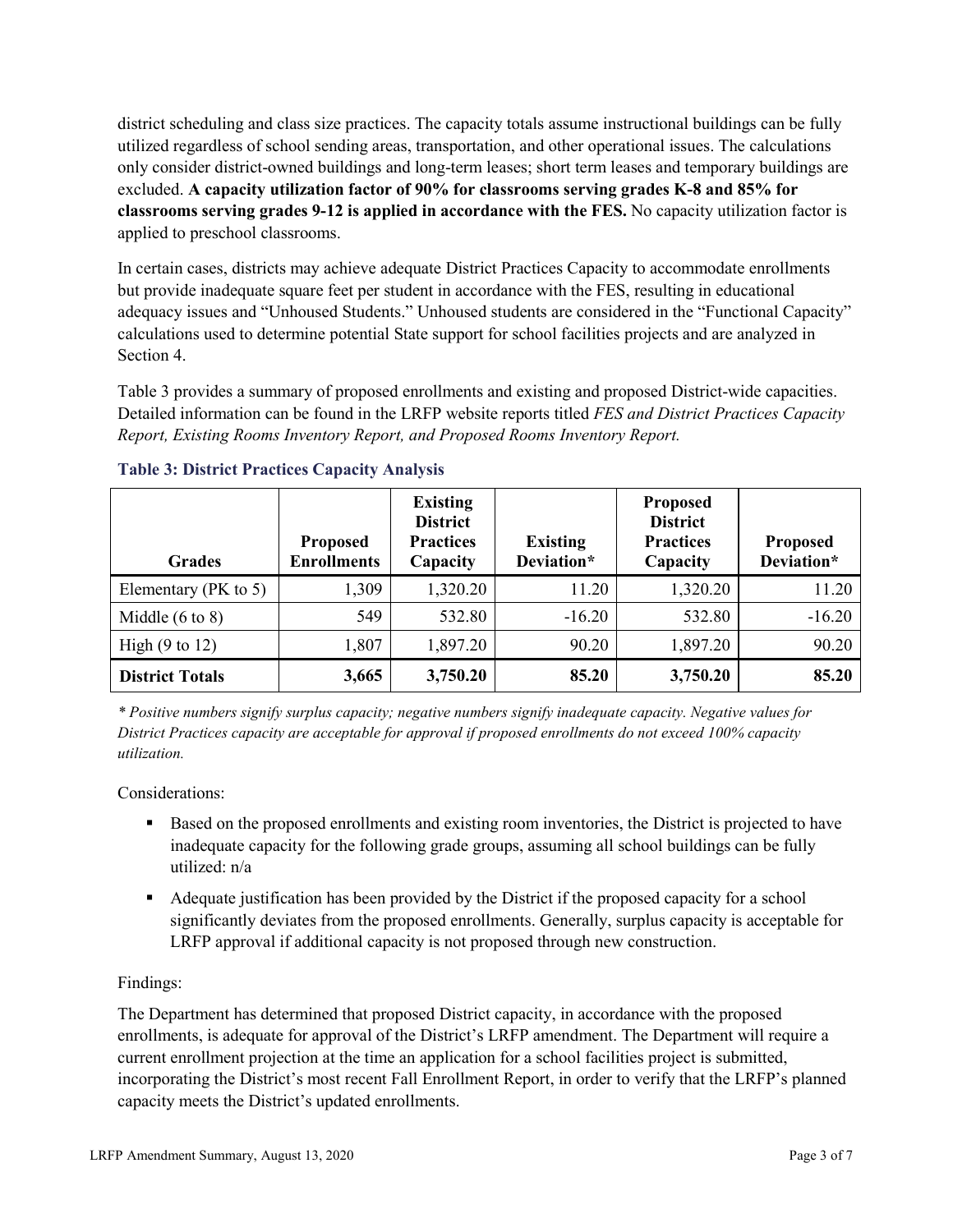district scheduling and class size practices. The capacity totals assume instructional buildings can be fully utilized regardless of school sending areas, transportation, and other operational issues. The calculations only consider district-owned buildings and long-term leases; short term leases and temporary buildings are excluded. **A capacity utilization factor of 90% for classrooms serving grades K-8 and 85% for classrooms serving grades 9-12 is applied in accordance with the FES.** No capacity utilization factor is applied to preschool classrooms.

In certain cases, districts may achieve adequate District Practices Capacity to accommodate enrollments but provide inadequate square feet per student in accordance with the FES, resulting in educational adequacy issues and "Unhoused Students." Unhoused students are considered in the "Functional Capacity" calculations used to determine potential State support for school facilities projects and are analyzed in Section 4.

Table 3 provides a summary of proposed enrollments and existing and proposed District-wide capacities. Detailed information can be found in the LRFP website reports titled *FES and District Practices Capacity Report, Existing Rooms Inventory Report, and Proposed Rooms Inventory Report.*

| <b>Grades</b>              | <b>Proposed</b><br><b>Enrollments</b> | <b>Existing</b><br><b>District</b><br><b>Practices</b><br>Capacity | <b>Existing</b><br>Deviation* | <b>Proposed</b><br><b>District</b><br><b>Practices</b><br>Capacity | <b>Proposed</b><br>Deviation* |
|----------------------------|---------------------------------------|--------------------------------------------------------------------|-------------------------------|--------------------------------------------------------------------|-------------------------------|
| Elementary ( $PK$ to 5)    | 1,309                                 | 1,320.20                                                           | 11.20                         | 1,320.20                                                           | 11.20                         |
| Middle $(6 \text{ to } 8)$ | 549                                   | 532.80                                                             | $-16.20$                      | 532.80                                                             | $-16.20$                      |
| High $(9 \text{ to } 12)$  | 1,807                                 | 1,897.20                                                           | 90.20                         | 1,897.20                                                           | 90.20                         |
| <b>District Totals</b>     | 3,665                                 | 3,750.20                                                           | 85.20                         | 3,750.20                                                           | 85.20                         |

### **Table 3: District Practices Capacity Analysis**

*\* Positive numbers signify surplus capacity; negative numbers signify inadequate capacity. Negative values for District Practices capacity are acceptable for approval if proposed enrollments do not exceed 100% capacity utilization.*

Considerations:

- Based on the proposed enrollments and existing room inventories, the District is projected to have inadequate capacity for the following grade groups, assuming all school buildings can be fully utilized: n/a
- Adequate justification has been provided by the District if the proposed capacity for a school significantly deviates from the proposed enrollments. Generally, surplus capacity is acceptable for LRFP approval if additional capacity is not proposed through new construction.

### Findings:

The Department has determined that proposed District capacity, in accordance with the proposed enrollments, is adequate for approval of the District's LRFP amendment. The Department will require a current enrollment projection at the time an application for a school facilities project is submitted, incorporating the District's most recent Fall Enrollment Report, in order to verify that the LRFP's planned capacity meets the District's updated enrollments.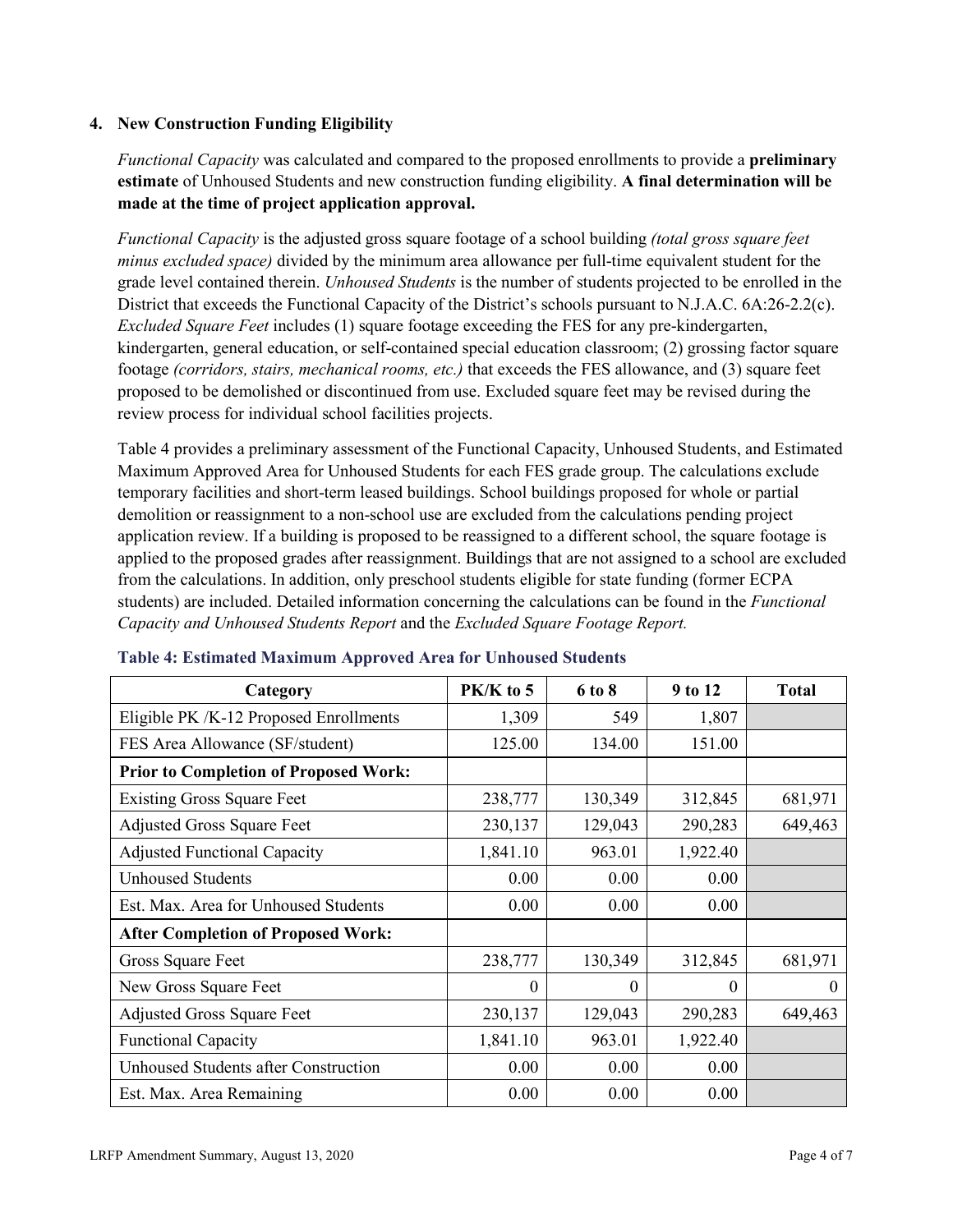#### **4. New Construction Funding Eligibility**

*Functional Capacity* was calculated and compared to the proposed enrollments to provide a **preliminary estimate** of Unhoused Students and new construction funding eligibility. **A final determination will be made at the time of project application approval.**

*Functional Capacity* is the adjusted gross square footage of a school building *(total gross square feet minus excluded space)* divided by the minimum area allowance per full-time equivalent student for the grade level contained therein. *Unhoused Students* is the number of students projected to be enrolled in the District that exceeds the Functional Capacity of the District's schools pursuant to N.J.A.C. 6A:26-2.2(c). *Excluded Square Feet* includes (1) square footage exceeding the FES for any pre-kindergarten, kindergarten, general education, or self-contained special education classroom; (2) grossing factor square footage *(corridors, stairs, mechanical rooms, etc.)* that exceeds the FES allowance, and (3) square feet proposed to be demolished or discontinued from use. Excluded square feet may be revised during the review process for individual school facilities projects.

Table 4 provides a preliminary assessment of the Functional Capacity, Unhoused Students, and Estimated Maximum Approved Area for Unhoused Students for each FES grade group. The calculations exclude temporary facilities and short-term leased buildings. School buildings proposed for whole or partial demolition or reassignment to a non-school use are excluded from the calculations pending project application review. If a building is proposed to be reassigned to a different school, the square footage is applied to the proposed grades after reassignment. Buildings that are not assigned to a school are excluded from the calculations. In addition, only preschool students eligible for state funding (former ECPA students) are included. Detailed information concerning the calculations can be found in the *Functional Capacity and Unhoused Students Report* and the *Excluded Square Footage Report.*

| Category                                     | $PK/K$ to 5 | 6 to 8  | 9 to 12  | <b>Total</b> |
|----------------------------------------------|-------------|---------|----------|--------------|
| Eligible PK /K-12 Proposed Enrollments       | 1,309       | 549     | 1,807    |              |
| FES Area Allowance (SF/student)              | 125.00      | 134.00  | 151.00   |              |
| <b>Prior to Completion of Proposed Work:</b> |             |         |          |              |
| <b>Existing Gross Square Feet</b>            | 238,777     | 130,349 | 312,845  | 681,971      |
| <b>Adjusted Gross Square Feet</b>            | 230,137     | 129,043 | 290,283  | 649,463      |
| <b>Adjusted Functional Capacity</b>          | 1,841.10    | 963.01  | 1,922.40 |              |
| Unhoused Students                            | 0.00        | 0.00    | 0.00     |              |
| Est. Max. Area for Unhoused Students         | 0.00        | 0.00    | 0.00     |              |
| <b>After Completion of Proposed Work:</b>    |             |         |          |              |
| Gross Square Feet                            | 238,777     | 130,349 | 312,845  | 681,971      |
| New Gross Square Feet                        | $\theta$    | 0       | $\theta$ | $\Omega$     |
| <b>Adjusted Gross Square Feet</b>            | 230,137     | 129,043 | 290,283  | 649,463      |
| <b>Functional Capacity</b>                   | 1,841.10    | 963.01  | 1,922.40 |              |
| <b>Unhoused Students after Construction</b>  | 0.00        | 0.00    | 0.00     |              |
| Est. Max. Area Remaining                     | 0.00        | 0.00    | 0.00     |              |

#### **Table 4: Estimated Maximum Approved Area for Unhoused Students**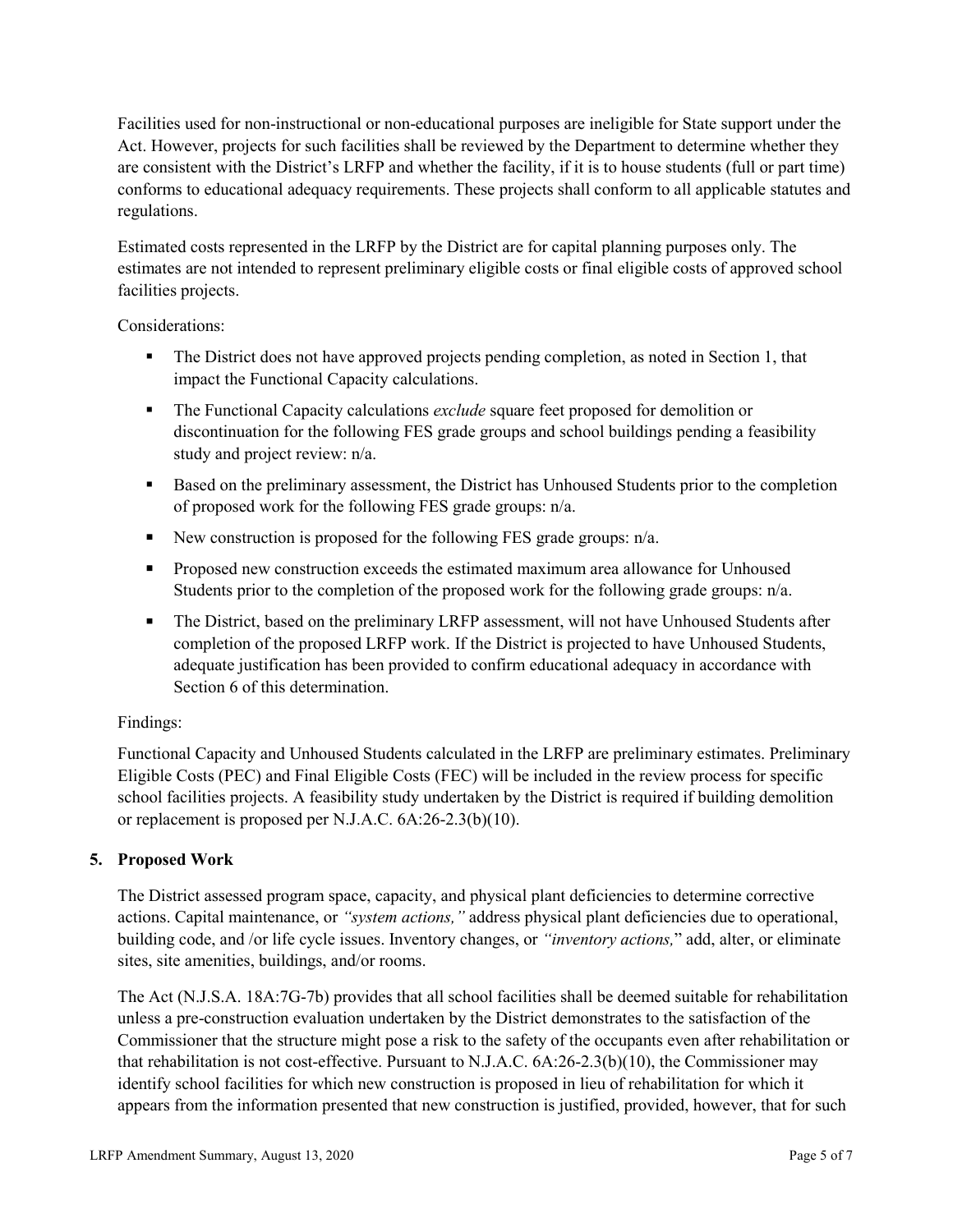Facilities used for non-instructional or non-educational purposes are ineligible for State support under the Act. However, projects for such facilities shall be reviewed by the Department to determine whether they are consistent with the District's LRFP and whether the facility, if it is to house students (full or part time) conforms to educational adequacy requirements. These projects shall conform to all applicable statutes and regulations.

Estimated costs represented in the LRFP by the District are for capital planning purposes only. The estimates are not intended to represent preliminary eligible costs or final eligible costs of approved school facilities projects.

Considerations:

- The District does not have approved projects pending completion, as noted in Section 1, that impact the Functional Capacity calculations.
- **The Functional Capacity calculations** *exclude* square feet proposed for demolition or discontinuation for the following FES grade groups and school buildings pending a feasibility study and project review: n/a.
- Based on the preliminary assessment, the District has Unhoused Students prior to the completion of proposed work for the following FES grade groups: n/a.
- New construction is proposed for the following FES grade groups: n/a.
- Proposed new construction exceeds the estimated maximum area allowance for Unhoused Students prior to the completion of the proposed work for the following grade groups: n/a.
- The District, based on the preliminary LRFP assessment, will not have Unhoused Students after completion of the proposed LRFP work. If the District is projected to have Unhoused Students, adequate justification has been provided to confirm educational adequacy in accordance with Section 6 of this determination.

### Findings:

Functional Capacity and Unhoused Students calculated in the LRFP are preliminary estimates. Preliminary Eligible Costs (PEC) and Final Eligible Costs (FEC) will be included in the review process for specific school facilities projects. A feasibility study undertaken by the District is required if building demolition or replacement is proposed per N.J.A.C. 6A:26-2.3(b)(10).

### **5. Proposed Work**

The District assessed program space, capacity, and physical plant deficiencies to determine corrective actions. Capital maintenance, or *"system actions,"* address physical plant deficiencies due to operational, building code, and /or life cycle issues. Inventory changes, or *"inventory actions,*" add, alter, or eliminate sites, site amenities, buildings, and/or rooms.

The Act (N.J.S.A. 18A:7G-7b) provides that all school facilities shall be deemed suitable for rehabilitation unless a pre-construction evaluation undertaken by the District demonstrates to the satisfaction of the Commissioner that the structure might pose a risk to the safety of the occupants even after rehabilitation or that rehabilitation is not cost-effective. Pursuant to N.J.A.C. 6A:26-2.3(b)(10), the Commissioner may identify school facilities for which new construction is proposed in lieu of rehabilitation for which it appears from the information presented that new construction is justified, provided, however, that for such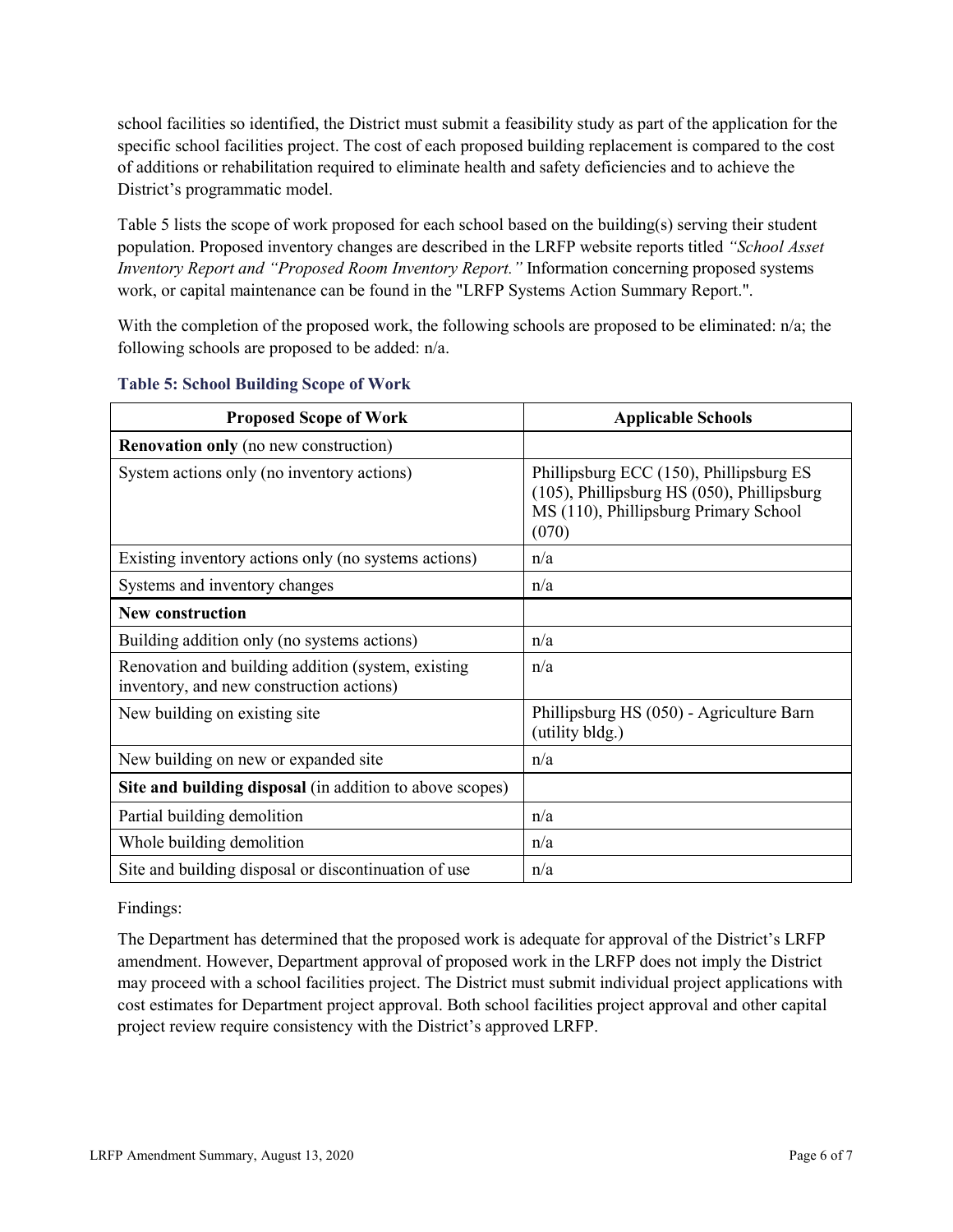school facilities so identified, the District must submit a feasibility study as part of the application for the specific school facilities project. The cost of each proposed building replacement is compared to the cost of additions or rehabilitation required to eliminate health and safety deficiencies and to achieve the District's programmatic model.

Table 5 lists the scope of work proposed for each school based on the building(s) serving their student population. Proposed inventory changes are described in the LRFP website reports titled *"School Asset Inventory Report and "Proposed Room Inventory Report."* Information concerning proposed systems work, or capital maintenance can be found in the "LRFP Systems Action Summary Report.".

With the completion of the proposed work, the following schools are proposed to be eliminated:  $n/a$ ; the following schools are proposed to be added: n/a.

| <b>Proposed Scope of Work</b>                                                                  | <b>Applicable Schools</b>                                                                                                               |
|------------------------------------------------------------------------------------------------|-----------------------------------------------------------------------------------------------------------------------------------------|
| <b>Renovation only</b> (no new construction)                                                   |                                                                                                                                         |
| System actions only (no inventory actions)                                                     | Phillipsburg ECC (150), Phillipsburg ES<br>(105), Phillipsburg HS (050), Phillipsburg<br>MS (110), Phillipsburg Primary School<br>(070) |
| Existing inventory actions only (no systems actions)                                           | n/a                                                                                                                                     |
| Systems and inventory changes                                                                  | n/a                                                                                                                                     |
| <b>New construction</b>                                                                        |                                                                                                                                         |
| Building addition only (no systems actions)                                                    | n/a                                                                                                                                     |
| Renovation and building addition (system, existing<br>inventory, and new construction actions) | n/a                                                                                                                                     |
| New building on existing site                                                                  | Phillipsburg HS (050) - Agriculture Barn<br>(utility bldg.)                                                                             |
| New building on new or expanded site                                                           | n/a                                                                                                                                     |
| Site and building disposal (in addition to above scopes)                                       |                                                                                                                                         |
| Partial building demolition                                                                    | n/a                                                                                                                                     |
| Whole building demolition                                                                      | n/a                                                                                                                                     |
| Site and building disposal or discontinuation of use                                           | n/a                                                                                                                                     |

#### **Table 5: School Building Scope of Work**

Findings:

The Department has determined that the proposed work is adequate for approval of the District's LRFP amendment. However, Department approval of proposed work in the LRFP does not imply the District may proceed with a school facilities project. The District must submit individual project applications with cost estimates for Department project approval. Both school facilities project approval and other capital project review require consistency with the District's approved LRFP.